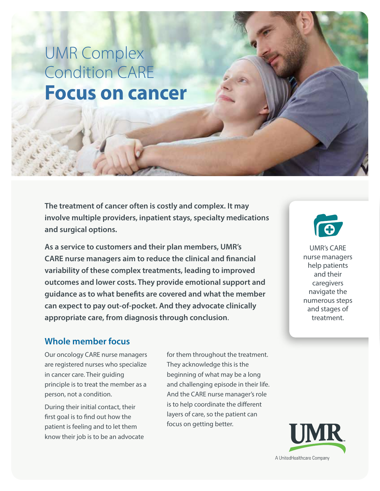## UMR Complex Condition CARE **Focus on cancer**

**The treatment of cancer often is costly and complex. It may involve multiple providers, inpatient stays, specialty medications and surgical options.**

**As a service to customers and their plan members, UMR's CARE nurse managers aim to reduce the clinical and financial variability of these complex treatments, leading to improved outcomes and lower costs. They provide emotional support and guidance as to what benefits are covered and what the member can expect to pay out-of-pocket. And they advocate clinically appropriate care, from diagnosis through conclusion**.

UMR's CARE nurse managers help patients and their caregivers navigate the numerous steps and stages of treatment.

### **Whole member focus**

Our oncology CARE nurse managers are registered nurses who specialize in cancer care. Their guiding principle is to treat the member as a person, not a condition.

During their initial contact, their first goal is to find out how the patient is feeling and to let them know their job is to be an advocate for them throughout the treatment. They acknowledge this is the beginning of what may be a long and challenging episode in their life. And the CARE nurse manager's role is to help coordinate the different layers of care, so the patient can focus on getting better.

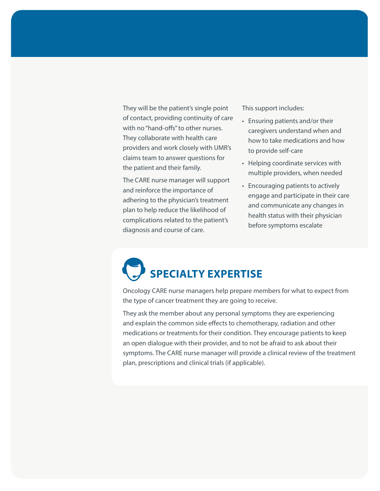They will be the patient's single point of contact, providing continuity of care with no "hand-offs" to other nurses. They collaborate with health care providers and work closely with UMR's claims team to answer questions for the patient and their family.

The CARE nurse manager will support and reinforce the importance of adhering to the physician's treatment plan to help reduce the likelihood of complications related to the patient's diagnosis and course of care.

This support includes:

- Ensuring patients and/or their caregivers understand when and how to take medications and how to provide self-care
- Helping coordinate services with multiple providers, when needed
- Encouraging patients to actively engage and participate in their care and communicate any changes in health status with their physician before symptoms escalate

# **SPECIALTY EXPERTISE**

Oncology CARE nurse managers help prepare members for what to expect from the type of cancer treatment they are going to receive.

They ask the member about any personal symptoms they are experiencing and explain the common side effects to chemotherapy, radiation and other medications or treatments for their condition. They encourage patients to keep an open dialogue with their provider, and to not be afraid to ask about their symptoms. The CARE nurse manager will provide a clinical review of the treatment plan, prescriptions and clinical trials (if applicable).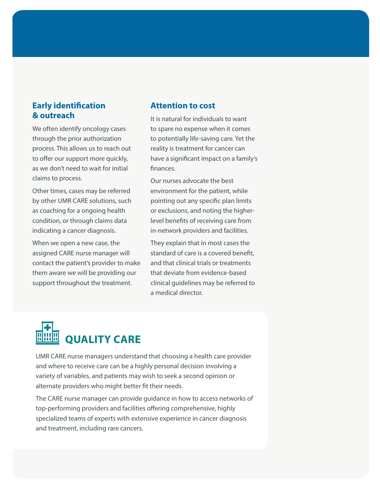#### **Early identification & outreach**

We often identify oncology cases through the prior authorization process. This allows us to reach out to offer our support more quickly, as we don't need to wait for initial claims to process.

Other times, cases may be referred by other UMR CARE solutions, such as coaching for a ongoing health condition, or through claims data indicating a cancer diagnosis.

When we open a new case, the assigned CARE nurse manager will contact the patient's provider to make them aware we will be providing our support throughout the treatment.

#### **Attention to cost**

It is natural for individuals to want to spare no expense when it comes to potentially life-saving care. Yet the reality is treatment for cancer can have a significant impact on a family's finances.

Our nurses advocate the best environment for the patient, while pointing out any specific plan limits or exclusions, and noting the higherlevel benefits of receiving care from in-network providers and facilities.

They explain that in most cases the standard of care is a covered benefit, and that clinical trials or treatments that deviate from evidence-based clinical guidelines may be referred to a medical director.



UMR CARE nurse managers understand that choosing a health care provider and where to receive care can be a highly personal decision involving a variety of variables, and patients may wish to seek a second opinion or alternate providers who might better fit their needs.

The CARE nurse manager can provide guidance in how to access networks of top-performing providers and facilities offering comprehensive, highly specialized teams of experts with extensive experience in cancer diagnosis and treatment, including rare cancers.